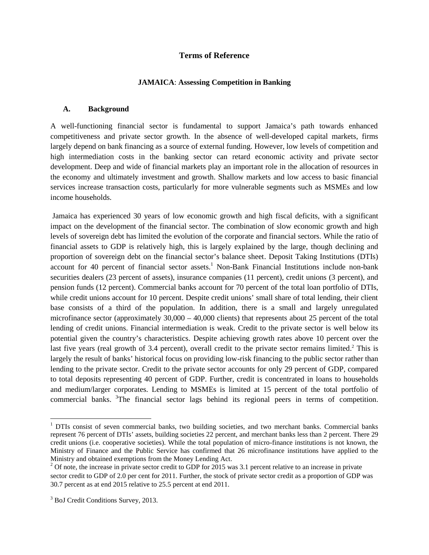#### **Terms of Reference**

#### **JAMAICA**: **Assessing Competition in Banking**

#### **A. Background**

A well-functioning financial sector is fundamental to support Jamaica's path towards enhanced competitiveness and private sector growth. In the absence of well-developed capital markets, firms largely depend on bank financing as a source of external funding. However, low levels of competition and high intermediation costs in the banking sector can retard economic activity and private sector development. Deep and wide of financial markets play an important role in the allocation of resources in the economy and ultimately investment and growth. Shallow markets and low access to basic financial services increase transaction costs, particularly for more vulnerable segments such as MSMEs and low income households.

Jamaica has experienced 30 years of low economic growth and high fiscal deficits, with a significant impact on the development of the financial sector. The combination of slow economic growth and high levels of sovereign debt has limited the evolution of the corporate and financial sectors. While the ratio of financial assets to GDP is relatively high, this is largely explained by the large, though declining and proportion of sovereign debt on the financial sector's balance sheet. Deposit Taking Institutions (DTIs) account for 40 percent of financial sector assets.<sup>1</sup> Non-Bank Financial Institutions include non-bank securities dealers (23 percent of assets), insurance companies (11 percent), credit unions (3 percent), and pension funds (12 percent). Commercial banks account for 70 percent of the total loan portfolio of DTIs, while credit unions account for 10 percent. Despite credit unions' small share of total lending, their client base consists of a third of the population. In addition, there is a small and largely unregulated microfinance sector (approximately 30,000 – 40,000 clients) that represents about 25 percent of the total lending of credit unions. Financial intermediation is weak. Credit to the private sector is well below its potential given the country's characteristics. Despite achieving growth rates above 10 percent over the last five years (real growth of 3.4 percent), overall credit to the private sector remains limited.<sup>2</sup> This is largely the result of banks' historical focus on providing low-risk financing to the public sector rather than lending to the private sector. Credit to the private sector accounts for only 29 percent of GDP, compared to total deposits representing 40 percent of GDP. Further, credit is concentrated in loans to households and medium/larger corporates. Lending to MSMEs is limited at 15 percent of the total portfolio of commercial banks.  ${}^{3}$ The financial sector lags behind its regional peers in terms of competition.

<sup>&</sup>lt;sup>1</sup> DTIs consist of seven commercial banks, two building societies, and two merchant banks. Commercial banks represent 76 percent of DTIs' assets, building societies 22 percent, and merchant banks less than 2 percent. There 29 credit unions (i.e. cooperative societies). While the total population of micro-finance institutions is not known, the Ministry of Finance and the Public Service has confirmed that 26 microfinance institutions have applied to the Ministry and obtained exemptions from the Money Lending Act.

 $3$  Of note, the increase in private sector credit to GDP for 2015 was 3.1 percent relative to an increase in private sector credit to GDP of 2.0 per cent for 2011. Further, the stock of private sector credit as a proportion of GDP was 30.7 percent as at end 2015 relative to 25.5 percent at end 2011.

<sup>&</sup>lt;sup>3</sup> BoJ Credit Conditions Survey, 2013.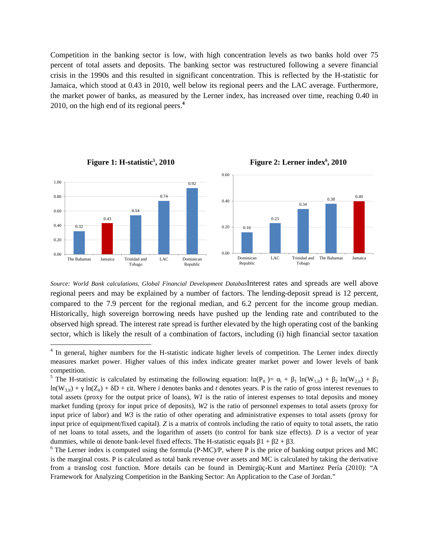Competition in the banking sector is low, with high concentration levels as two banks hold over 75 percent of total assets and deposits. The banking sector was restructured following a severe financial crisis in the 1990s and this resulted in significant concentration. This is reflected by the H-statistic for Jamaica, which stood at 0.43 in 2010, well below its regional peers and the LAC average. Furthermore, the market power of banks, as measured by the Lerner index, has increased over time, reaching 0.40 in 2010, on the high end of its regional peers.**<sup>4</sup>**



**, 2010 Figure 2: Lerner index<sup>6</sup> , 2010**

*Source: World Bank calculations, Global Financial Development Databas*Interest rates and spreads are well above regional peers and may be explained by a number of factors. The lending-deposit spread is 12 percent, compared to the 7.9 percent for the regional median, and 6.2 percent for the income group median. Historically, high sovereign borrowing needs have pushed up the lending rate and contributed to the observed high spread. The interest rate spread is further elevated by the high operating cost of the banking sector, which is likely the result of a combination of factors, including (i) high financial sector taxation

<sup>&</sup>lt;sup>4</sup> In general, higher numbers for the H-statistic indicate higher levels of competition. The Lerner index directly measures market power. Higher values of this index indicate greater market power and lower levels of bank competition.

<sup>&</sup>lt;sup>5</sup> The H-statistic is calculated by estimating the following equation:  $ln(P_{it}) = 1 + 1 ln(W_{1,it}) + 2 ln(W_{2,it}) + 3$  $ln(W_{3,i})$  +  $ln(Z_{i,i})$  +  $D$  + it. Where *i* denotes banks and *t* denotes years. P is the ratio of gross interest revenues to total assets (proxy for the output price of loans), *W1* is the ratio of interest expenses to total deposits and money market funding (proxy for input price of deposits), *W2* is the ratio of personnel expenses to total assets (proxy for input price of labor) and *W3* is the ratio of other operating and administrative expenses to total assets (proxy for input price of equipment/fixed capital). *Z* is a matrix of controls including the ratio of equity to total assets, the ratio of net loans to total assets, and the logarithm of assets (to control for bank size effects). *D* is a vector of year dummies, while i denote bank-level fixed effects. The H-statistic equals  $1 + 2 + 3$ .

 $6$  The Lerner index is computed using the formula (P-MC)/P, where P is the price of banking output prices and MC is the marginal costs. P is calculated as total bank revenue over assets and MC is calculated by taking the derivative from a translog cost function. More details can be found in Demirgüç-Kunt and Martínez Pería (2010): "A Framework for Analyzing Competition in the Banking Sector: An Application to the Case of Jordan."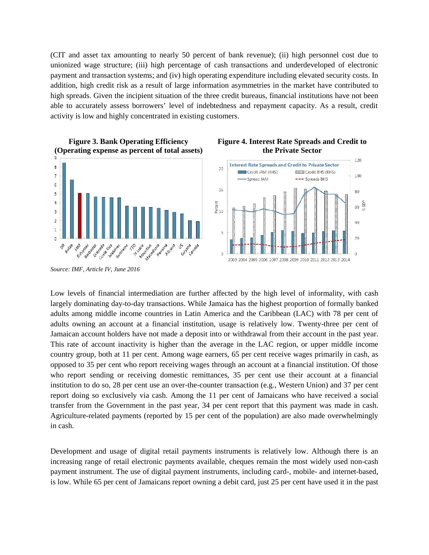(CIT and asset tax amounting to nearly 50 percent of bank revenue); (ii) high personnel cost due to unionized wage structure; (iii) high percentage of cash transactions and underdeveloped of electronic payment and transaction systems; and (iv) high operating expenditure including elevated security costs. In addition, high credit risk as a result of large information asymmetries in the market have contributed to high spreads. Given the incipient situation of the three credit bureaus, financial institutions have not been able to accurately assess borrowers' level of indebtedness and repayment capacity. As a result, credit activity is low and highly concentrated in existing customers.



**Figure 4. Interest Rate Spreads and Credit to**

 $120$ 

100

80

 $40$ 

 $20$ 

 $\alpha$ 

 $60\frac{6}{3}$ 

*Source: IMF, Article IV, June 2016*

Low levels of financial intermediation are further affected by the high level of informality, with cash largely dominating day-to-day transactions. While Jamaica has the highest proportion of formally banked adults among middle income countries in Latin America and the Caribbean (LAC) with 78 per cent of adults owning an account at a financial institution, usage is relatively low. Twenty-three per cent of Jamaican account holders have not made a deposit into or withdrawal from their account in the past year. This rate of account inactivity is higher than the average in the LAC region, or upper middle income country group, both at 11 per cent. Among wage earners, 65 per cent receive wages primarily in cash, as opposed to 35 per cent who report receiving wages through an account at a financial institution. Of those who report sending or receiving domestic remittances, 35 per cent use their account at a financial institution to do so, 28 per cent use an over-the-counter transaction (e.g., Western Union) and 37 per cent report doing so exclusively via cash. Among the 11 per cent of Jamaicans who have received a social transfer from the Government in the past year, 34 per cent report that this payment was made in cash. Agriculture-related payments (reported by 15 per cent of the population) are also made overwhelmingly in cash.

Development and usage of digital retail payments instruments is relatively low. Although there is an increasing range of retail electronic payments available, cheques remain the most widely used non-cash payment instrument. The use of digital payment instruments, including card-, mobile- and internet-based, is low. While 65 per cent of Jamaicans report owning a debit card, just 25 per cent have used it in the past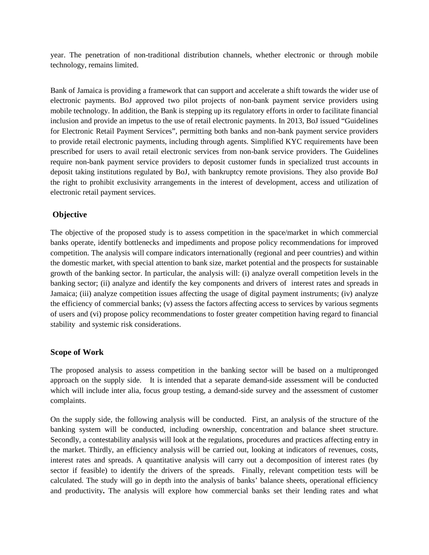year. The penetration of non-traditional distribution channels, whether electronic or through mobile technology, remains limited.

Bank of Jamaica is providing a framework that can support and accelerate a shift towards the wider use of electronic payments. BoJ approved two pilot projects of non-bank payment service providers using mobile technology. In addition, the Bank is stepping up its regulatory efforts in order to facilitate financial inclusion and provide an impetus to the use of retail electronic payments. In 2013, BoJ issued "Guidelines for Electronic Retail Payment Services", permitting both banks and non-bank payment service providers to provide retail electronic payments, including through agents. Simplified KYC requirements have been prescribed for users to avail retail electronic services from non-bank service providers. The Guidelines require non-bank payment service providers to deposit customer funds in specialized trust accounts in deposit taking institutions regulated by BoJ, with bankruptcy remote provisions. They also provide BoJ the right to prohibit exclusivity arrangements in the interest of development, access and utilization of electronic retail payment services.

# **Objective**

The objective of the proposed study is to assess competition in the space/market in which commercial banks operate, identify bottlenecks and impediments and propose policy recommendations for improved competition. The analysis will compare indicators internationally (regional and peer countries) and within the domestic market, with special attention to bank size, market potential and the prospects for sustainable growth of the banking sector. In particular, the analysis will: (i) analyze overall competition levels in the banking sector; (ii) analyze and identify the key components and drivers of interest rates and spreads in Jamaica; (iii) analyze competition issues affecting the usage of digital payment instruments; (iv) analyze the efficiency of commercial banks; (v) assess the factors affecting access to services by various segments of users and (vi) propose policy recommendations to foster greater competition having regard to financial stability and systemic risk considerations.

### **Scope of Work**

The proposed analysis to assess competition in the banking sector will be based on a multipronged approach on the supply side. It is intended that a separate demand-side assessment will be conducted which will include inter alia, focus group testing, a demand-side survey and the assessment of customer complaints.

On the supply side, the following analysis will be conducted. First, an analysis of the structure of the banking system will be conducted, including ownership, concentration and balance sheet structure. Secondly, a contestability analysis will look at the regulations, procedures and practices affecting entry in the market. Thirdly, an efficiency analysis will be carried out, looking at indicators of revenues, costs, interest rates and spreads. A quantitative analysis will carry out a decomposition of interest rates (by sector if feasible) to identify the drivers of the spreads. Finally, relevant competition tests will be calculated. The study will go in depth into the analysis of banks' balance sheets, operational efficiency and productivity**.** The analysis will explore how commercial banks set their lending rates and what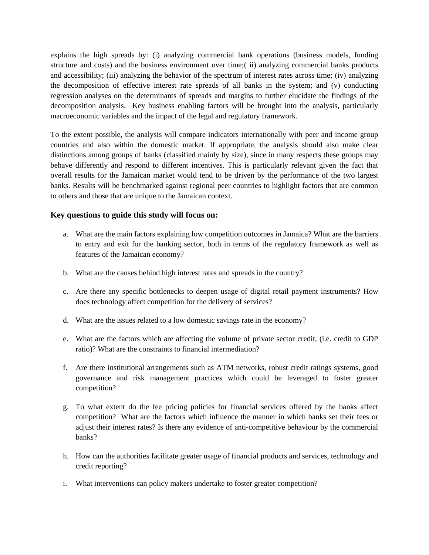explains the high spreads by: (i) analyzing commercial bank operations (business models, funding structure and costs) and the business environment over time;( ii) analyzing commercial banks products and accessibility; (iii) analyzing the behavior of the spectrum of interest rates across time; (iv) analyzing the decomposition of effective interest rate spreads of all banks in the system; and (v) conducting regression analyses on the determinants of spreads and margins to further elucidate the findings of the decomposition analysis. Key business enabling factors will be brought into the analysis, particularly macroeconomic variables and the impact of the legal and regulatory framework.

To the extent possible, the analysis will compare indicators internationally with peer and income group countries and also within the domestic market. If appropriate, the analysis should also make clear distinctions among groups of banks (classified mainly by size), since in many respects these groups may behave differently and respond to different incentives. This is particularly relevant given the fact that overall results for the Jamaican market would tend to be driven by the performance of the two largest banks. Results will be benchmarked against regional peer countries to highlight factors that are common to others and those that are unique to the Jamaican context.

#### **Key questions to guide this study will focus on:**

- a. What are the main factors explaining low competition outcomes in Jamaica? What are the barriers to entry and exit for the banking sector, both in terms of the regulatory framework as well as features of the Jamaican economy?
- b. What are the causes behind high interest rates and spreads in the country?
- c. Are there any specific bottlenecks to deepen usage of digital retail payment instruments? How does technology affect competition for the delivery of services?
- d. What are the issues related to a low domestic savings rate in the economy?
- e. What are the factors which are affecting the volume of private sector credit, (i.e. credit to GDP ratio)? What are the constraints to financial intermediation?
- f. Are there institutional arrangements such as ATM networks, robust credit ratings systems, good governance and risk management practices which could be leveraged to foster greater competition?
- g. To what extent do the fee pricing policies for financial services offered by the banks affect competition? What are the factors which influence the manner in which banks set their fees or adjust their interest rates? Is there any evidence of anti-competitive behaviour by the commercial banks?
- h. How can the authorities facilitate greater usage of financial products and services, technology and credit reporting?
- i. What interventions can policy makers undertake to foster greater competition?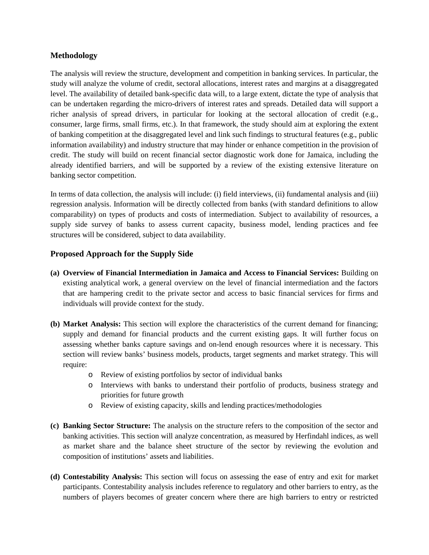### **Methodology**

The analysis will review the structure, development and competition in banking services. In particular, the study will analyze the volume of credit, sectoral allocations, interest rates and margins at a disaggregated level. The availability of detailed bank-specific data will, to a large extent, dictate the type of analysis that can be undertaken regarding the micro-drivers of interest rates and spreads. Detailed data will support a richer analysis of spread drivers, in particular for looking at the sectoral allocation of credit (e.g., consumer, large firms, small firms, etc.). In that framework, the study should aim at exploring the extent of banking competition at the disaggregated level and link such findings to structural features (e.g., public information availability) and industry structure that may hinder or enhance competition in the provision of credit. The study will build on recent financial sector diagnostic work done for Jamaica, including the already identified barriers, and will be supported by a review of the existing extensive literature on banking sector competition.

In terms of data collection, the analysis will include: (i) field interviews, (ii) fundamental analysis and (iii) regression analysis. Information will be directly collected from banks (with standard definitions to allow comparability) on types of products and costs of intermediation. Subject to availability of resources, a supply side survey of banks to assess current capacity, business model, lending practices and fee structures will be considered, subject to data availability.

## **Proposed Approach for the Supply Side**

- **(a) Overview of Financial Intermediation in Jamaica and Access to Financial Services:** Building on existing analytical work, a general overview on the level of financial intermediation and the factors that are hampering credit to the private sector and access to basic financial services for firms and individuals will provide context for the study.
- **(b) Market Analysis:** This section will explore the characteristics of the current demand for financing; supply and demand for financial products and the current existing gaps. It will further focus on assessing whether banks capture savings and on-lend enough resources where it is necessary. This section will review banks' business models, products, target segments and market strategy. This will require:
	- o Review of existing portfolios by sector of individual banks
	- o Interviews with banks to understand their portfolio of products, business strategy and priorities for future growth
	- o Review of existing capacity, skills and lending practices/methodologies
- **(c) Banking Sector Structure:** The analysis on the structure refers to the composition of the sector and banking activities. This section will analyze concentration, as measured by Herfindahl indices, as well as market share and the balance sheet structure of the sector by reviewing the evolution and composition of institutions' assets and liabilities.
- **(d) Contestability Analysis:** This section will focus on assessing the ease of entry and exit for market participants. Contestability analysis includes reference to regulatory and other barriers to entry, as the numbers of players becomes of greater concern where there are high barriers to entry or restricted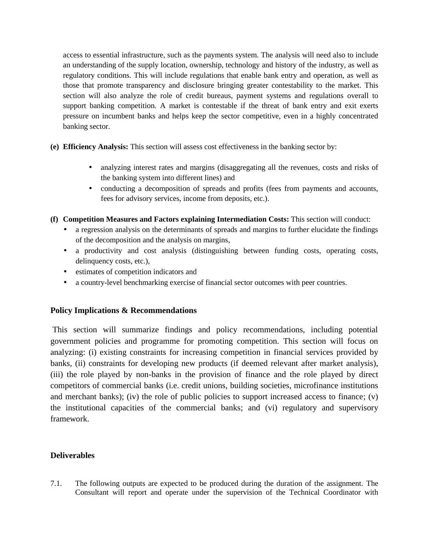access to essential infrastructure, such as the payments system. The analysis will need also to include an understanding of the supply location, ownership, technology and history of the industry, as well as regulatory conditions. This will include regulations that enable bank entry and operation, as well as those that promote transparency and disclosure bringing greater contestability to the market. This section will also analyze the role of credit bureaus, payment systems and regulations overall to support banking competition. A market is contestable if the threat of bank entry and exit exerts pressure on incumbent banks and helps keep the sector competitive, even in a highly concentrated banking sector.

- **(e) Efficiency Analysis:** This section will assess cost effectiveness in the banking sector by:
	- analyzing interest rates and margins (disaggregating all the revenues, costs and risks of the banking system into different lines) and
	- conducting a decomposition of spreads and profits (fees from payments and accounts, fees for advisory services, income from deposits, etc.).
- **(f) Competition Measures and Factors explaining Intermediation Costs:** This section will conduct:
	- a regression analysis on the determinants of spreads and margins to further elucidate the findings of the decomposition and the analysis on margins,
	- a productivity and cost analysis (distinguishing between funding costs, operating costs, delinquency costs, etc.),
	- estimates of competition indicators and
	- a country-level benchmarking exercise of financial sector outcomes with peer countries.

### **Policy Implications & Recommendations**

This section will summarize findings and policy recommendations, including potential government policies and programme for promoting competition. This section will focus on analyzing: (i) existing constraints for increasing competition in financial services provided by banks, (ii) constraints for developing new products (if deemed relevant after market analysis), (iii) the role played by non-banks in the provision of finance and the role played by direct competitors of commercial banks (i.e. credit unions, building societies, microfinance institutions and merchant banks); (iv) the role of public policies to support increased access to finance; (v) the institutional capacities of the commercial banks; and (vi) regulatory and supervisory framework.

### **Deliverables**

7.1. The following outputs are expected to be produced during the duration of the assignment. The Consultant will report and operate under the supervision of the Technical Coordinator with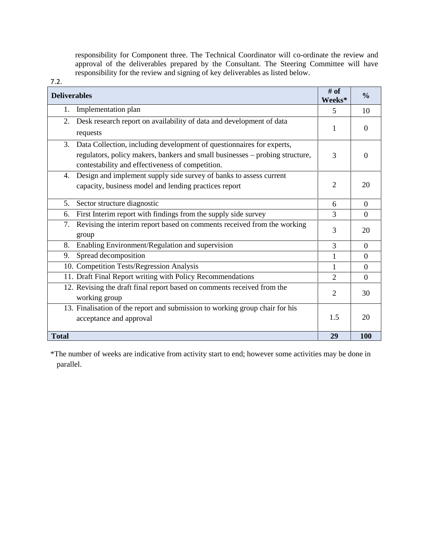responsibility for Component three. The Technical Coordinator will co-ordinate the review and approval of the deliverables prepared by the Consultant. The Steering Committee will have responsibility for the review and signing of key deliverables as listed below.

| 7.2.                                                                                                                                                                                                            |                  |                |
|-----------------------------------------------------------------------------------------------------------------------------------------------------------------------------------------------------------------|------------------|----------------|
| <b>Deliverables</b>                                                                                                                                                                                             | $#$ of<br>Weeks* | $\frac{0}{0}$  |
| Implementation plan<br>1.                                                                                                                                                                                       | 5                | 10             |
| Desk research report on availability of data and development of data<br>2.<br>requests                                                                                                                          | 1                | $\theta$       |
| Data Collection, including development of questionnaires for experts,<br>3.<br>regulators, policy makers, bankers and small businesses - probing structure,<br>contestability and effectiveness of competition. | 3                | $\theta$       |
| Design and implement supply side survey of banks to assess current<br>4.<br>capacity, business model and lending practices report                                                                               | 2                | 20             |
| Sector structure diagnostic<br>5.                                                                                                                                                                               | 6                | $\overline{0}$ |
| First Interim report with findings from the supply side survey<br>6.                                                                                                                                            | 3                | $\Omega$       |
| Revising the interim report based on comments received from the working<br>7.<br>group                                                                                                                          | 3                | 20             |
| Enabling Environment/Regulation and supervision<br>8.                                                                                                                                                           | 3                | $\overline{0}$ |
| Spread decomposition<br>9.                                                                                                                                                                                      | 1                | $\Omega$       |
| 10. Competition Tests/Regression Analysis                                                                                                                                                                       | 1                | $\overline{0}$ |
| 11. Draft Final Report writing with Policy Recommendations                                                                                                                                                      | $\overline{2}$   | $\Omega$       |
| 12. Revising the draft final report based on comments received from the<br>working group                                                                                                                        | $\overline{2}$   | 30             |
| 13. Finalisation of the report and submission to working group chair for his<br>acceptance and approval                                                                                                         | 1.5              | 20             |
| <b>Total</b>                                                                                                                                                                                                    | 29               | 100            |

\*The number of weeks are indicative from activity start to end; however some activities may be done in parallel.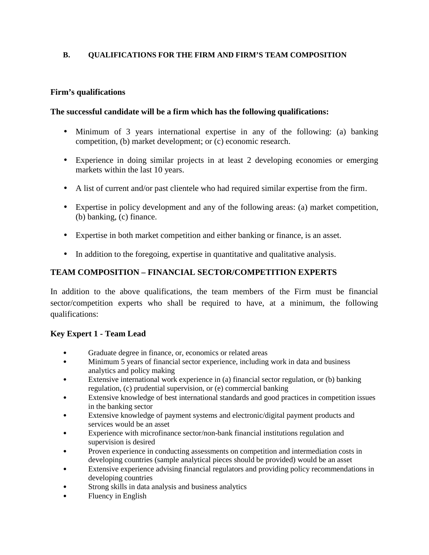### **B. QUALIFICATIONS FOR THE FIRM AND FIRM'S TEAM COMPOSITION**

### **Firm's qualifications**

## **The successful candidate will be a firm which has the following qualifications:**

- Minimum of 3 years international expertise in any of the following: (a) banking competition, (b) market development; or (c) economic research.
- Experience in doing similar projects in at least 2 developing economies or emerging markets within the last 10 years.
- A list of current and/or past clientele who had required similar expertise from the firm.
- Expertise in policy development and any of the following areas: (a) market competition, (b) banking, (c) finance.
- Expertise in both market competition and either banking or finance, is an asset.
- In addition to the foregoing, expertise in quantitative and qualitative analysis.

# **TEAM COMPOSITION – FINANCIAL SECTOR/COMPETITION EXPERTS**

In addition to the above qualifications, the team members of the Firm must be financial sector/competition experts who shall be required to have, at a minimum, the following qualifications:

# **Key Expert 1 - Team Lead**

- Graduate degree in finance, or, economics or related areas
- Minimum 5 years of financial sector experience, including work in data and business analytics and policy making
- Extensive international work experience in (a) financial sector regulation, or (b) banking regulation, (c) prudential supervision, or (e) commercial banking
- Extensive knowledge of best international standards and good practices in competition issues in the banking sector
- Extensive knowledge of payment systems and electronic/digital payment products and services would be an asset
- Experience with microfinance sector/non-bank financial institutions regulation and supervision is desired
- Proven experience in conducting assessments on competition and intermediation costs in developing countries (sample analytical pieces should be provided) would be an asset
- Extensive experience advising financial regulators and providing policy recommendations in developing countries
- Strong skills in data analysis and business analytics
- Fluency in English